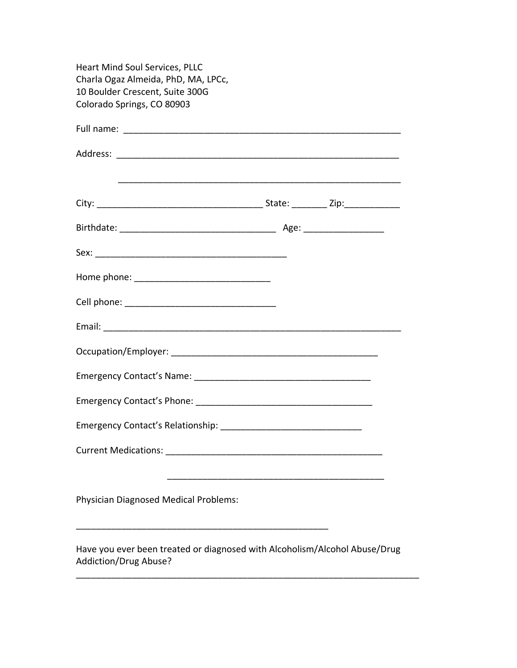| <b>Heart Mind Soul Services, PLLC</b><br>Charla Ogaz Almeida, PhD, MA, LPCc, |  |
|------------------------------------------------------------------------------|--|
| 10 Boulder Crescent, Suite 300G                                              |  |
| Colorado Springs, CO 80903                                                   |  |
|                                                                              |  |
|                                                                              |  |
|                                                                              |  |
|                                                                              |  |
|                                                                              |  |
|                                                                              |  |
|                                                                              |  |
|                                                                              |  |
|                                                                              |  |
|                                                                              |  |
|                                                                              |  |
|                                                                              |  |
|                                                                              |  |
|                                                                              |  |
|                                                                              |  |
|                                                                              |  |
| Physician Diagnosed Medical Problems:                                        |  |
| Have you ever been treated or diagnosed with Alcoholism/Alcohol Abuse/Drug   |  |

\_\_\_\_\_\_\_\_\_\_\_\_\_\_\_\_\_\_\_\_\_\_\_\_\_\_\_\_\_\_\_\_\_\_\_\_\_\_\_\_\_\_\_\_\_\_\_\_\_\_\_\_\_\_\_\_\_\_\_\_\_\_\_\_\_\_\_\_

Addiction/Drug Abuse?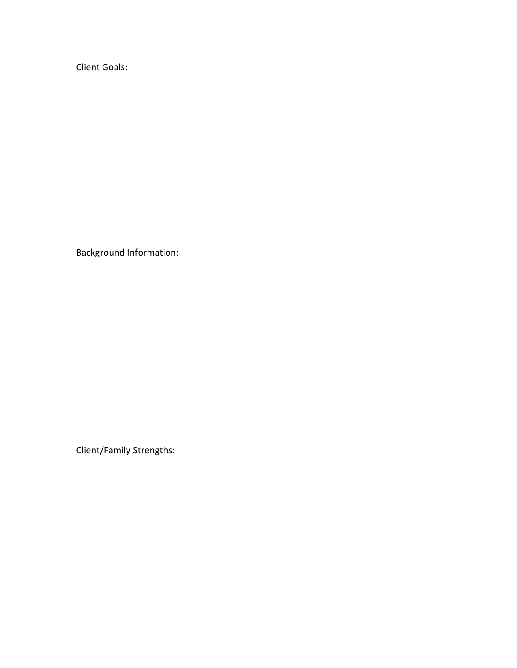Client Goals:

Background Information:

Client/Family Strengths: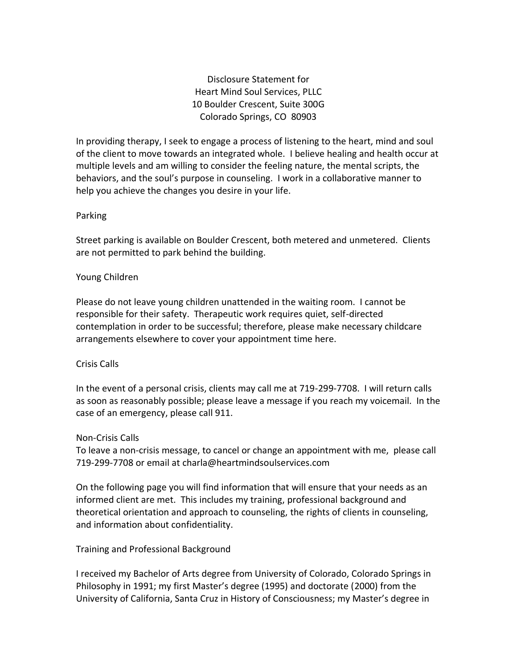Disclosure Statement for Heart Mind Soul Services, PLLC 10 Boulder Crescent, Suite 300G Colorado Springs, CO 80903

In providing therapy, I seek to engage a process of listening to the heart, mind and soul of the client to move towards an integrated whole. I believe healing and health occur at multiple levels and am willing to consider the feeling nature, the mental scripts, the behaviors, and the soul's purpose in counseling. I work in a collaborative manner to help you achieve the changes you desire in your life.

# Parking

Street parking is available on Boulder Crescent, both metered and unmetered. Clients are not permitted to park behind the building.

# Young Children

Please do not leave young children unattended in the waiting room. I cannot be responsible for their safety. Therapeutic work requires quiet, self-directed contemplation in order to be successful; therefore, please make necessary childcare arrangements elsewhere to cover your appointment time here.

### Crisis Calls

In the event of a personal crisis, clients may call me at 719-299-7708. I will return calls as soon as reasonably possible; please leave a message if you reach my voicemail. In the case of an emergency, please call 911.

### Non-Crisis Calls

To leave a non-crisis message, to cancel or change an appointment with me, please call 719-299-7708 or email at charla@heartmindsoulservices.com

On the following page you will find information that will ensure that your needs as an informed client are met. This includes my training, professional background and theoretical orientation and approach to counseling, the rights of clients in counseling, and information about confidentiality.

# Training and Professional Background

I received my Bachelor of Arts degree from University of Colorado, Colorado Springs in Philosophy in 1991; my first Master's degree (1995) and doctorate (2000) from the University of California, Santa Cruz in History of Consciousness; my Master's degree in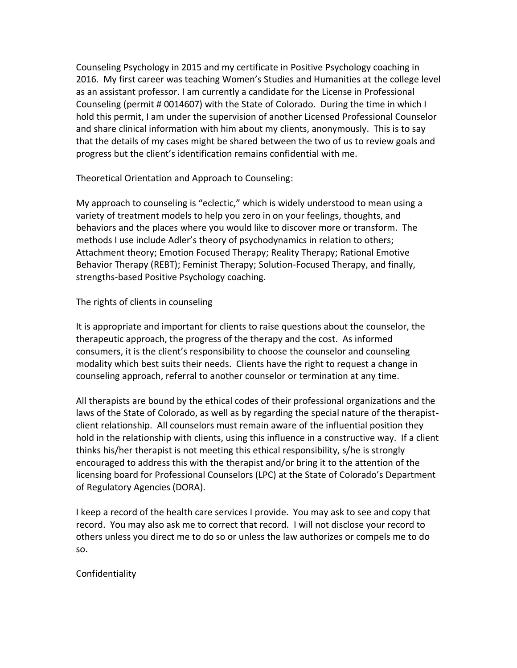Counseling Psychology in 2015 and my certificate in Positive Psychology coaching in 2016. My first career was teaching Women's Studies and Humanities at the college level as an assistant professor. I am currently a candidate for the License in Professional Counseling (permit # 0014607) with the State of Colorado. During the time in which I hold this permit, I am under the supervision of another Licensed Professional Counselor and share clinical information with him about my clients, anonymously. This is to say that the details of my cases might be shared between the two of us to review goals and progress but the client's identification remains confidential with me.

Theoretical Orientation and Approach to Counseling:

My approach to counseling is "eclectic," which is widely understood to mean using a variety of treatment models to help you zero in on your feelings, thoughts, and behaviors and the places where you would like to discover more or transform. The methods I use include Adler's theory of psychodynamics in relation to others; Attachment theory; Emotion Focused Therapy; Reality Therapy; Rational Emotive Behavior Therapy (REBT); Feminist Therapy; Solution-Focused Therapy, and finally, strengths-based Positive Psychology coaching.

The rights of clients in counseling

It is appropriate and important for clients to raise questions about the counselor, the therapeutic approach, the progress of the therapy and the cost. As informed consumers, it is the client's responsibility to choose the counselor and counseling modality which best suits their needs. Clients have the right to request a change in counseling approach, referral to another counselor or termination at any time.

All therapists are bound by the ethical codes of their professional organizations and the laws of the State of Colorado, as well as by regarding the special nature of the therapistclient relationship. All counselors must remain aware of the influential position they hold in the relationship with clients, using this influence in a constructive way. If a client thinks his/her therapist is not meeting this ethical responsibility, s/he is strongly encouraged to address this with the therapist and/or bring it to the attention of the licensing board for Professional Counselors (LPC) at the State of Colorado's Department of Regulatory Agencies (DORA).

I keep a record of the health care services I provide. You may ask to see and copy that record. You may also ask me to correct that record. I will not disclose your record to others unless you direct me to do so or unless the law authorizes or compels me to do so.

Confidentiality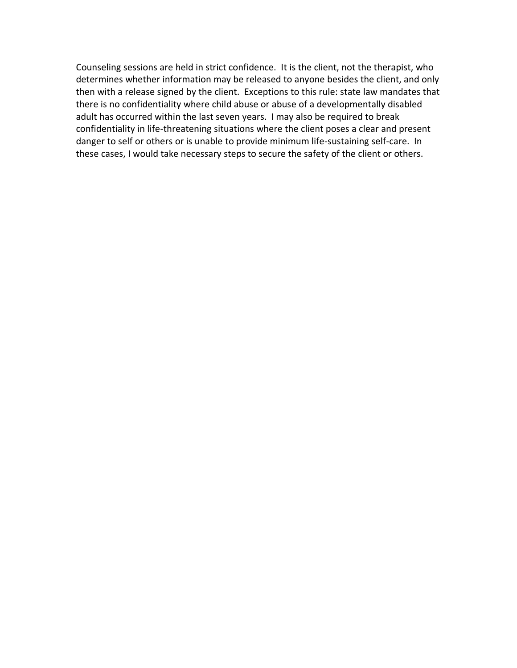Counseling sessions are held in strict confidence. It is the client, not the therapist, who determines whether information may be released to anyone besides the client, and only then with a release signed by the client. Exceptions to this rule: state law mandates that there is no confidentiality where child abuse or abuse of a developmentally disabled adult has occurred within the last seven years. I may also be required to break confidentiality in life-threatening situations where the client poses a clear and present danger to self or others or is unable to provide minimum life-sustaining self-care. In these cases, I would take necessary steps to secure the safety of the client or others.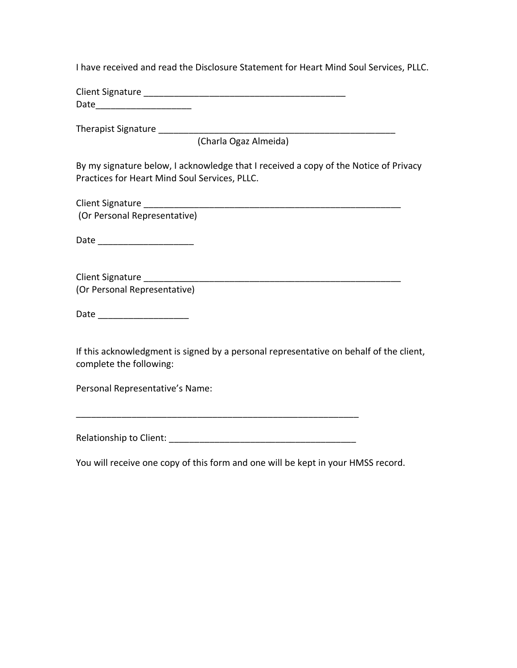I have received and read the Disclosure Statement for Heart Mind Soul Services, PLLC.

Client Signature \_\_\_\_\_\_\_\_\_\_\_\_\_\_\_\_\_\_\_\_\_\_\_\_\_\_\_\_\_\_\_\_\_\_\_\_\_\_\_\_ Date\_\_\_\_\_\_\_\_\_\_\_\_\_\_\_\_\_\_\_

Therapist Signature \_\_\_\_\_\_\_\_\_\_\_\_\_\_\_\_\_\_\_\_\_\_\_\_\_\_\_\_\_\_\_\_\_\_\_\_\_\_\_\_\_\_\_\_\_\_\_

(Charla Ogaz Almeida)

By my signature below, I acknowledge that I received a copy of the Notice of Privacy Practices for Heart Mind Soul Services, PLLC.

Client Signature \_\_\_\_\_\_\_\_\_\_\_\_\_\_\_\_\_\_\_\_\_\_\_\_\_\_\_\_\_\_\_\_\_\_\_\_\_\_\_\_\_\_\_\_\_\_\_\_\_\_\_ (Or Personal Representative)

Date <u>\_\_\_\_\_\_\_\_\_\_\_\_\_\_\_</u>

Client Signature (Or Personal Representative)

Date \_\_\_\_\_\_\_\_\_\_\_\_\_\_\_\_\_\_\_\_\_\_\_\_\_

If this acknowledgment is signed by a personal representative on behalf of the client, complete the following:

Personal Representative's Name:

Relationship to Client: \_\_\_\_\_\_\_\_\_\_\_\_\_\_\_\_\_\_\_\_\_\_\_\_\_\_\_\_\_\_\_\_\_\_\_\_\_

\_\_\_\_\_\_\_\_\_\_\_\_\_\_\_\_\_\_\_\_\_\_\_\_\_\_\_\_\_\_\_\_\_\_\_\_\_\_\_\_\_\_\_\_\_\_\_\_\_\_\_\_\_\_\_\_

You will receive one copy of this form and one will be kept in your HMSS record.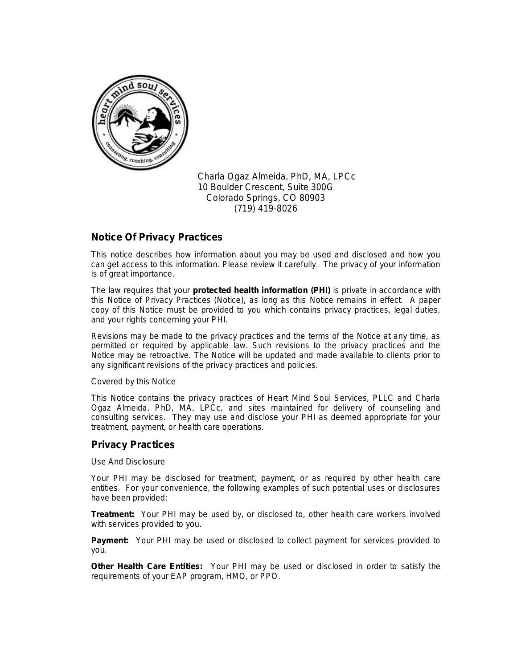

Charla Ogaz Almeida, PhD, MA, LPCc 10 Boulder Crescent, Suite 300G Colorado Springs, CO 80903 (719) 419-8026

# Notice Of Privacy Practices

This notice describes how information about you may be used and disclosed and how you can get access to this information. Please review it carefully. The privacy of your information is of great importance.

The law requires that your protected health information (PHI) is private in accordance with this Notice of Privacy Practices (Notice), as long as this Notice remains in effect. A paper copy of this Notice must be provided to you which contains privacy practices, legal duties, and your rights concerning your PHI.

Revisions may be made to the privacy practices and the terms of the Notice at any time, as permitted or required by applicable law. Such revisions to the privacy practices and the Notice may be retroactive. The Notice will be updated and made available to clients prior to any significant revisions of the privacy practices and policies.

#### Covered by this Notice

This Notice contains the privacy practices of Heart Mind Soul Services, PLLC and Charla Ogaz Almeida, PhD, MA, LPCc, and sites maintained for delivery of counseling and consulting services. They may use and disclose your PHI as deemed appropriate for your treatment, payment, or health care operations.

# Privacy Practices

### Use And Disclosure

Your PHI may be disclosed for treatment, payment, or as required by other health care entities. For your convenience, the following examples of such potential uses or disclosures have been provided:

Treatment: Your PHI may be used by, or disclosed to, other health care workers involved with services provided to you.

Payment: Your PHI may be used or disclosed to collect payment for services provided to you.

Other Health Care Entities: Your PHI may be used or disclosed in order to satisfy the requirements of your EAP program, HMO, or PPO.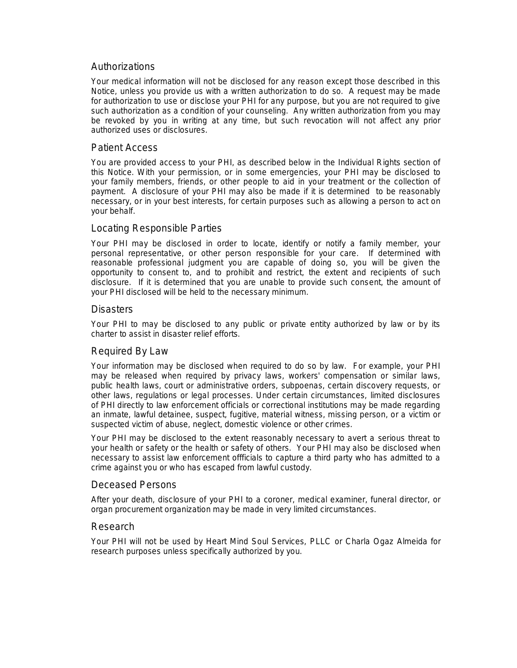# **Authorizations**

Your medical information will not be disclosed for any reason except those described in this Notice, unless you provide us with a written authorization to do so. A request may be made for authorization to use or disclose your PHI for any purpose, but you are not required to give such authorization as a condition of your counseling. Any written authorization from you may be revoked by you in writing at any time, but such revocation will not affect any prior authorized uses or disclosures.

### Patient Access

You are provided access to your PHI, as described below in the Individual Rights section of this Notice. With your permission, or in some emergencies, your PHI may be disclosed to your family members, friends, or other people to aid in your treatment or the collection of payment. A disclosure of your PHI may also be made if it is determined to be reasonably necessary, or in your best interests, for certain purposes such as allowing a person to act on your behalf.

#### Locating Responsible Parties

Your PHI may be disclosed in order to locate, identify or notify a family member, your personal representative, or other person responsible for your care. If determined with reasonable professional judgment you are capable of doing so, you will be given the opportunity to consent to, and to prohibit and restrict, the extent and recipients of such disclosure. If it is determined that you are unable to provide such consent, the amount of your PHI disclosed will be held to the necessary minimum.

#### **Disasters**

Your PHI to may be disclosed to any public or private entity authorized by law or by its charter to assist in disaster relief efforts.

# Required By Law

Your information may be disclosed when required to do so by law. For example, your PHI may be released when required by privacy laws, workers' compensation or similar laws, public health laws, court or administrative orders, subpoenas, certain discovery requests, or other laws, regulations or legal processes. Under certain circumstances, limited disclosures of PHI directly to law enforcement officials or correctional institutions may be made regarding an inmate, lawful detainee, suspect, fugitive, material witness, missing person, or a victim or suspected victim of abuse, neglect, domestic violence or other crimes.

Your PHI may be disclosed to the extent reasonably necessary to avert a serious threat to your health or safety or the health or safety of others. Your PHI may also be disclosed when necessary to assist law enforcement offficials to capture a third party who has admitted to a crime against you or who has escaped from lawful custody.

#### Deceased Persons

After your death, disclosure of your PHI to a coroner, medical examiner, funeral director, or organ procurement organization may be made in very limited circumstances.

#### Research

Your PHI will not be used by Heart Mind Soul Services, PLLC or Charla Ogaz Almeida for research purposes unless specifically authorized by you.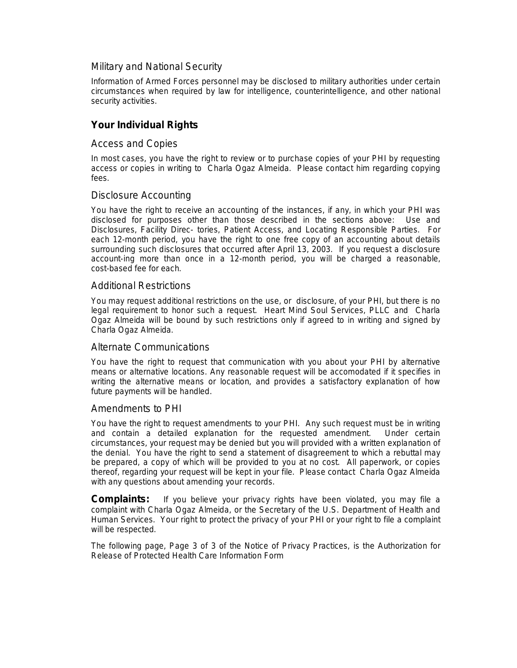# Military and National Security

Information of Armed Forces personnel may be disclosed to military authorities under certain circumstances when required by law for intelligence, counterintelligence, and other national security activities.

# Your Individual Rights

# Access and Copies

In most cases, you have the right to review or to purchase copies of your PHI by requesting access or copies in writing to Charla Ogaz Almeida. Please contact him regarding copying fees.

### Disclosure Accounting

You have the right to receive an accounting of the instances, if any, in which your PHI was disclosed for purposes other than those described in the sections above: Use and Disclosures, Facility Direc- tories, Patient Access, and Locating Responsible Parties. For each 12-month period, you have the right to one free copy of an accounting about details surrounding such disclosures that occurred after April 13, 2003. If you request a disclosure account-ing more than once in a 12-month period, you will be charged a reasonable, cost-based fee for each.

#### Additional Restrictions

You may request additional restrictions on the use, or disclosure, of your PHI, but there is no legal requirement to honor such a request. Heart Mind Soul Services, PLLC and Charla Ogaz Almeida will be bound by such restrictions only if agreed to in writing and signed by Charla Ogaz Almeida.

### Alternate Communications

You have the right to request that communication with you about your PHI by alternative means or alternative locations. Any reasonable request will be accomodated if it specifies in writing the alternative means or location, and provides a satisfactory explanation of how future payments will be handled.

### Amendments to PHI

You have the right to request amendments to your PHI. Any such request must be in writing and contain a detailed explanation for the requested amendment. Under certain circumstances, your request may be denied but you will provided with a written explanation of the denial. You have the right to send a statement of disagreement to which a rebuttal may be prepared, a copy of which will be provided to you at no cost. All paperwork, or copies thereof, regarding your request will be kept in your file. Please contact Charla Ogaz Almeida with any questions about amending your records.

Complaints: If you believe your privacy rights have been violated, you may file a complaint with Charla Ogaz Almeida, or the Secretary of the U.S. Department of Health and Human Services. Your right to protect the privacy of your PHI or your right to file a complaint will be respected.

The following page, Page 3 of 3 of the Notice of Privacy Practices, is the Authorization for Release of Protected Health Care Information Form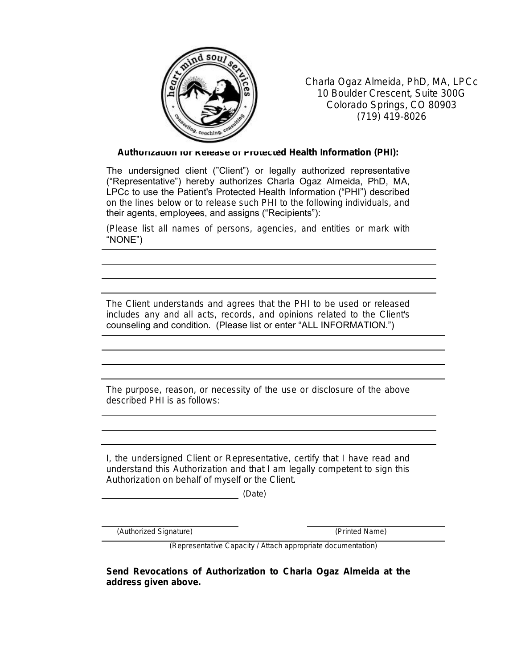

Charla Ogaz Almeida, PhD, MA, LPCc 10 Boulder Crescent, Suite 300G Colorado Springs, CO 80903 (719) 419-8026

Authorization for Release of Protected Health Information (PHI):

The undersigned client ("Client") or legally authorized representative ("Representative") hereby authorizes Charla Ogaz Almeida, PhD, MA, LPCc to use the Patient's Protected Health Information ("PHI") described on the lines below or to release such PHI to the following individuals, and their agents, employees, and assigns ("Recipients"):

(Please list all names of persons, agencies, and entities or mark with "NONE")

The Client understands and agrees that the PHI to be used or released includes any and all acts, records, and opinions related to the Client's counseling and condition. (Please list or enter "ALL INFORMATION.")

The purpose, reason, or necessity of the use or disclosure of the above described PHI is as follows:

I, the undersigned Client or Representative, certify that I have read and understand this Authorization and that I am legally competent to sign this Authorization on behalf of myself or the Client.

(Date)

(Authorized Signature) (Printed Name)

(Representative Capacity / Attach appropriate documentation)

Send Revocations of Authorization to Charla Ogaz Almeida at the address given above.